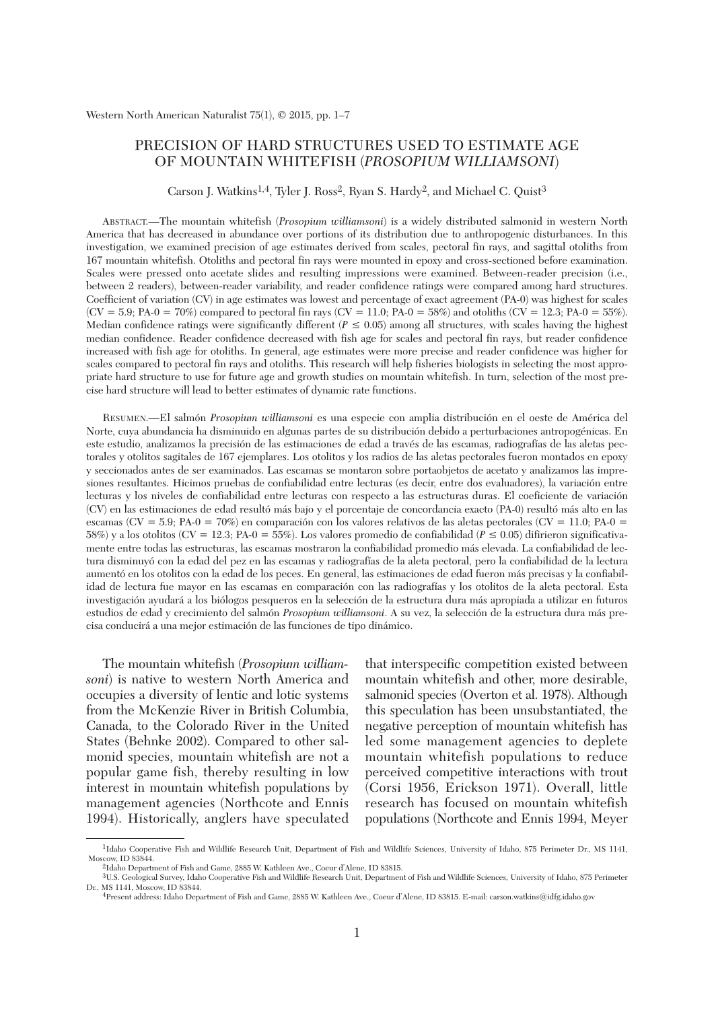# PRECISION OF HARD STRUCTURES USED TO ESTIMATE AGE OF MOUNTAIN WHITEFISH (*PROSOPIUM WILLIAMSONI*)

Carson J. Watkins<sup>1,4</sup>, Tyler J. Ross<sup>2</sup>, Ryan S. Hardy<sup>2</sup>, and Michael C. Quist<sup>3</sup>

ABSTRACT.—The mountain whitefish (*Prosopium williamsoni*) is a widely distributed salmonid in western North America that has decreased in abundance over portions of its distribution due to anthropogenic disturbances. In this investigation, we examined precision of age estimates derived from scales, pectoral fin rays, and sagittal otoliths from 167 mountain whitefish. Otoliths and pectoral fin rays were mounted in epoxy and cross-sectioned before examination. Scales were pressed onto acetate slides and resulting impressions were examined. Between-reader precision (i.e., between 2 readers), between-reader variability, and reader confidence ratings were compared among hard structures. Coefficient of variation (CV) in age estimates was lowest and percentage of exact agreement (PA-0) was highest for scales  $(CV = 5.9; PA-0 = 70\%)$  compared to pectoral fin rays  $(CV = 11.0; PA-0 = 58\%)$  and otoliths  $(CV = 12.3; PA-0 = 55\%).$ Median confidence ratings were significantly different ( $P \le 0.05$ ) among all structures, with scales having the highest median confidence. Reader confidence decreased with fish age for scales and pectoral fin rays, but reader confidence increased with fish age for otoliths. In general, age estimates were more precise and reader confidence was higher for scales compared to pectoral fin rays and otoliths. This research will help fisheries biologists in selecting the most appropriate hard structure to use for future age and growth studies on mountain whitefish. In turn, selection of the most precise hard structure will lead to better estimates of dynamic rate functions.

RESUMEN.—El salmón *Prosopium williamsoni* es una especie con amplia distribución en el oeste de América del Norte, cuya abundancia ha disminuido en algunas partes de su distribución debido a perturbaciones antropogénicas. En este estudio, analizamos la precisión de las estimaciones de edad a través de las escamas, radiografías de las aletas pectorales y otolitos sagitales de 167 ejemplares. Los otolitos y los radios de las aletas pectorales fueron montados en epoxy y seccionados antes de ser examinados. Las escamas se montaron sobre portaobjetos de acetato y analizamos las impresiones resultantes. Hicimos pruebas de confiabilidad entre lecturas (es decir, entre dos evaluadores), la variación entre lecturas y los niveles de confiabilidad entre lecturas con respecto a las estructuras duras. El coeficiente de variación (CV) en las estimaciones de edad resultó más bajo y el porcentaje de concordancia exacto (PA-0) resultó más alto en las escamas (CV = 5.9; PA-0 = 70%) en comparación con los valores relativos de las aletas pectorales (CV = 11.0; PA-0 = 58%) y a los otolitos (CV = 12.3; PA-0 = 55%). Los valores promedio de confiabilidad (*P* ≤ 0.05) difirieron significativamente entre todas las estructuras, las escamas mostraron la confiabilidad promedio más elevada. La confiabilidad de lectura disminuyó con la edad del pez en las escamas y radiografías de la aleta pectoral, pero la confiabilidad de la lectura aumentó en los otolitos con la edad de los peces. En general, las estimaciones de edad fueron más precisas y la confiabilidad de lectura fue mayor en las escamas en comparación con las radiografías y los otolitos de la aleta pectoral. Esta investigación ayudará a los biólogos pesqueros en la selección de la estructura dura más apropiada a utilizar en futuros estudios de edad y crecimiento del salmón *Prosopium williamsoni*. A su vez, la selección de la estructura dura más precisa conducirá a una mejor estimación de las funciones de tipo dinámico.

The mountain whitefish (*Prosopium william soni*) is native to western North America and occupies a diversity of lentic and lotic systems from the McKenzie River in British Columbia, Canada, to the Colorado River in the United States (Behnke 2002). Compared to other salmonid species, mountain whitefish are not a popular game fish, thereby resulting in low interest in mountain whitefish populations by management agencies (Northcote and Ennis 1994). Historically, anglers have speculated

that interspecific competition existed between mountain whitefish and other, more desirable, salmonid species (Overton et al. 1978). Although this speculation has been unsubstantiated, the negative perception of mountain whitefish has led some management agencies to deplete mountain whitefish populations to reduce perceived competitive interactions with trout (Corsi 1956, Erickson 1971). Overall, little research has focused on mountain whitefish populations (Northcote and Ennis 1994, Meyer

<sup>1</sup>Idaho Cooperative Fish and Wildlife Research Unit, Department of Fish and Wildlife Sciences, University of Idaho, 875 Perimeter Dr., MS 1141, Moscow, ID 83844.

<sup>2</sup>Idaho Department of Fish and Game, 2885 W. Kathleen Ave., Coeur d'Alene, ID 83815.

<sup>3</sup>U.S. Geological Survey, Idaho Cooperative Fish and Wildlife Research Unit, Department of Fish and Wildlife Sciences, University of Idaho, 875 Perimeter Dr., MS 1141, Moscow, ID 83844.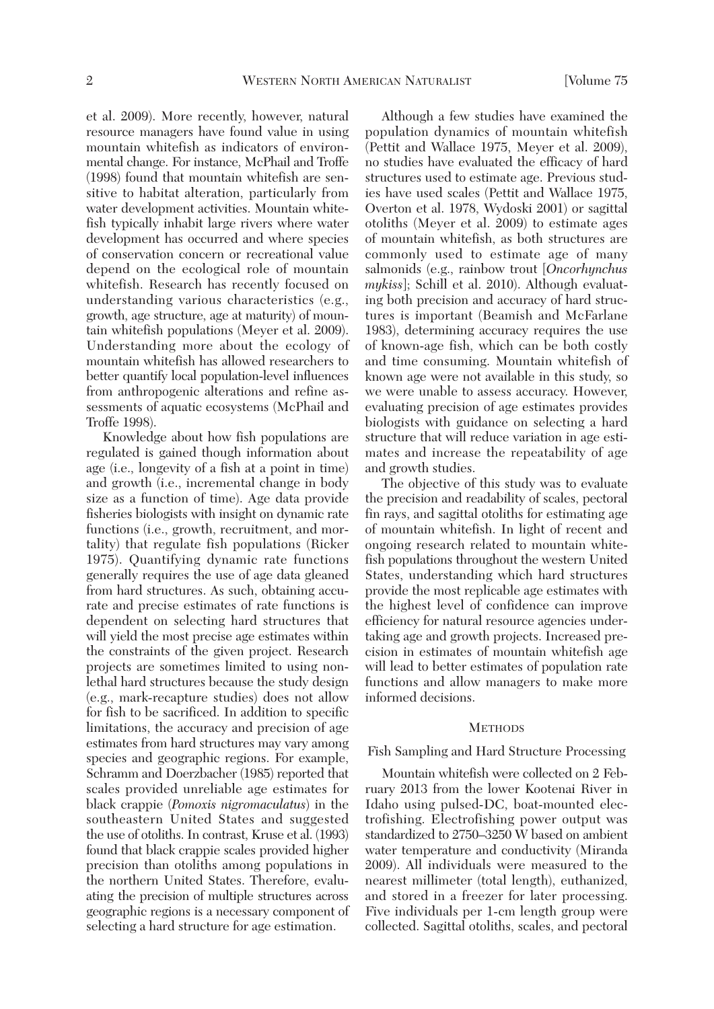et al. 2009). More recently, however, natural resource managers have found value in using mountain whitefish as indicators of environmental change. For instance, McPhail and Troffe (1998) found that mountain whitefish are sensitive to habitat alteration, particularly from water development activities. Mountain whitefish typically inhabit large rivers where water development has occurred and where species of conservation concern or recreational value depend on the ecological role of mountain whitefish. Research has recently focused on understanding various characteristics (e.g., growth, age structure, age at maturity) of mountain whitefish populations (Meyer et al. 2009). Understanding more about the ecology of mountain whitefish has allowed researchers to better quantify local population-level influences from anthropogenic alterations and refine as sessments of aquatic ecosystems (McPhail and Troffe 1998).

Knowledge about how fish populations are regulated is gained though information about age (i.e., longevity of a fish at a point in time) and growth (i.e., incremental change in body size as a function of time). Age data provide fisheries biologists with insight on dynamic rate functions (i.e., growth, recruitment, and mortality) that regulate fish populations (Ricker 1975). Quantifying dynamic rate functions generally requires the use of age data gleaned from hard structures. As such, obtaining accurate and precise estimates of rate functions is dependent on selecting hard structures that will yield the most precise age estimates within the constraints of the given project. Research projects are sometimes limited to using nonlethal hard structures because the study design (e.g., mark-recapture studies) does not allow for fish to be sacrificed. In addition to specific limitations, the accuracy and precision of age estimates from hard structures may vary among species and geographic regions. For example, Schramm and Doerzbacher (1985) reported that scales provided unreliable age estimates for black crappie (*Pomoxis nigromaculatus*) in the southeastern United States and suggested the use of otoliths. In contrast, Kruse et al. (1993) found that black crappie scales provided higher precision than otoliths among populations in the northern United States. Therefore, evaluating the precision of multiple structures across geographic regions is a necessary component of selecting a hard structure for age estimation.

Although a few studies have examined the population dynamics of mountain whitefish (Pettit and Wallace 1975, Meyer et al. 2009), no studies have evaluated the efficacy of hard structures used to estimate age. Previous studies have used scales (Pettit and Wallace 1975, Overton et al. 1978, Wydoski 2001) or sagittal otoliths (Meyer et al. 2009) to estimate ages of mountain whitefish, as both structures are commonly used to estimate age of many salmonids (e.g., rainbow trout [*Oncorhynchus mykiss*]; Schill et al. 2010). Although evaluating both precision and accuracy of hard structures is important (Beamish and McFarlane 1983), determining accuracy requires the use of known-age fish, which can be both costly and time consuming. Mountain whitefish of known age were not available in this study, so we were unable to assess accuracy. However, evaluating precision of age estimates provides biologists with guidance on selecting a hard structure that will reduce variation in age estimates and increase the repeatability of age and growth studies.

The objective of this study was to evaluate the precision and readability of scales, pectoral fin rays, and sagittal otoliths for estimating age of mountain whitefish. In light of recent and ongoing research related to mountain whitefish populations throughout the western United States, understanding which hard structures provide the most replicable age estimates with the highest level of confidence can improve efficiency for natural resource agencies undertaking age and growth projects. Increased precision in estimates of mountain whitefish age will lead to better estimates of population rate functions and allow managers to make more informed decisions.

#### **METHODS**

### Fish Sampling and Hard Structure Processing

Mountain whitefish were collected on 2 February 2013 from the lower Kootenai River in Idaho using pulsed-DC, boat-mounted electrofishing. Electrofishing power output was standardized to 2750–3250 W based on ambient water temperature and conductivity (Miranda 2009). All individuals were measured to the nearest millimeter (total length), euthanized, and stored in a freezer for later processing. Five individuals per 1-cm length group were collected. Sagittal otoliths, scales, and pectoral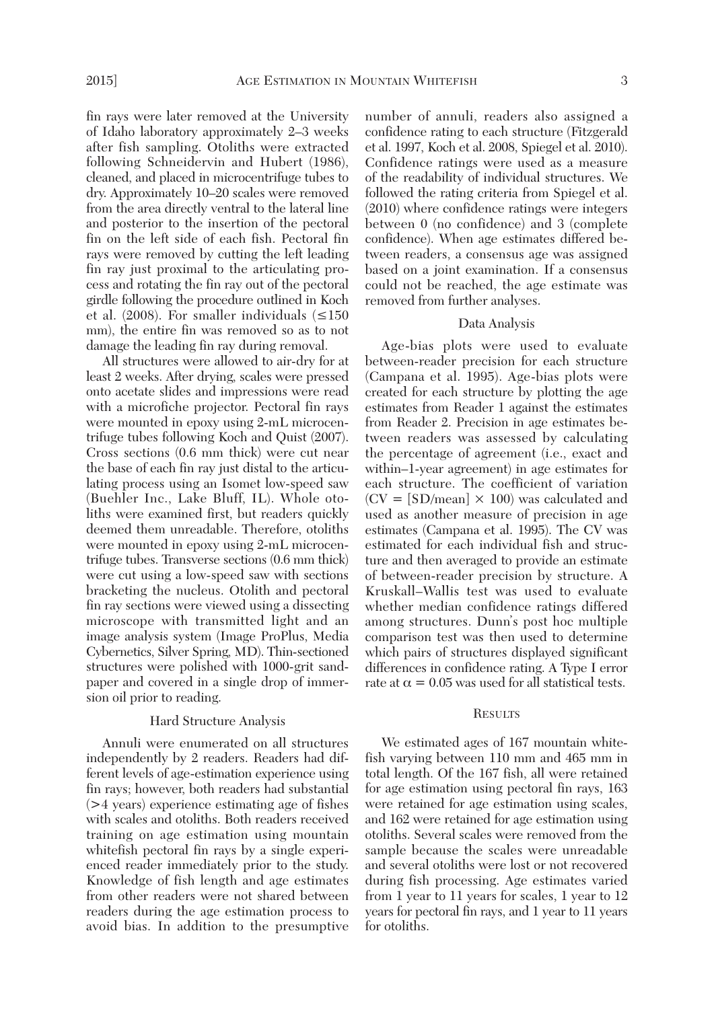fin rays were later removed at the University of Idaho laboratory approximately 2–3 weeks after fish sampling. Otoliths were extracted following Schneidervin and Hubert (1986), cleaned, and placed in microcentrifuge tubes to dry. Approximately 10–20 scales were removed from the area directly ventral to the lateral line and posterior to the insertion of the pectoral fin on the left side of each fish. Pectoral fin rays were removed by cutting the left leading fin ray just proximal to the articulating process and rotating the fin ray out of the pectoral girdle following the procedure outlined in Koch et al. (2008). For smaller individuals  $(\leq 150$ mm), the entire fin was removed so as to not damage the leading fin ray during removal.

All structures were allowed to air-dry for at least 2 weeks. After drying, scales were pressed onto acetate slides and impressions were read with a microfiche projector. Pectoral fin rays were mounted in epoxy using 2-mL microcentrifuge tubes following Koch and Quist (2007). Cross sections (0.6 mm thick) were cut near the base of each fin ray just distal to the articulating process using an Isomet low-speed saw (Buehler Inc., Lake Bluff, IL). Whole otoliths were examined first, but readers quickly deemed them unreadable. Therefore, otoliths were mounted in epoxy using 2-mL microcentrifuge tubes. Transverse sections (0.6 mm thick) were cut using a low-speed saw with sections bracketing the nucleus. Otolith and pectoral fin ray sections were viewed using a dissecting microscope with transmitted light and an image analysis system (Image ProPlus, Media Cybernetics, Silver Spring, MD). Thin-sectioned structures were polished with 1000-grit sandpaper and covered in a single drop of immersion oil prior to reading.

# Hard Structure Analysis

Annuli were enumerated on all structures independently by 2 readers. Readers had different levels of age-estimation experience using fin rays; however, both readers had substantial (>4 years) experience estimating age of fishes with scales and otoliths. Both readers received training on age estimation using mountain whitefish pectoral fin rays by a single experienced reader immediately prior to the study. Knowledge of fish length and age estimates from other readers were not shared between readers during the age estimation process to avoid bias. In addition to the presumptive number of annuli, readers also assigned a confidence rating to each structure (Fitzgerald et al. 1997, Koch et al. 2008, Spiegel et al. 2010). Confidence ratings were used as a measure of the readability of individual structures. We followed the rating criteria from Spiegel et al. (2010) where confidence ratings were integers between 0 (no confidence) and 3 (complete confidence). When age estimates differed be tween readers, a consensus age was assigned based on a joint examination. If a consensus could not be reached, the age estimate was removed from further analyses.

# Data Analysis

Age-bias plots were used to evaluate between-reader precision for each structure (Campana et al. 1995). Age-bias plots were created for each structure by plotting the age estimates from Reader 1 against the estimates from Reader 2. Precision in age estimates be tween readers was assessed by calculating the percentage of agreement (i.e., exact and within–1-year agreement) in age estimates for each structure. The coefficient of variation  $(CV = [SD/mean] \times 100)$  was calculated and used as another measure of precision in age estimates (Campana et al. 1995). The CV was estimated for each individual fish and structure and then averaged to provide an estimate of between-reader precision by structure. A Kruskall–Wallis test was used to evaluate whether median confidence ratings differed among structures. Dunn's post hoc multiple comparison test was then used to determine which pairs of structures displayed significant differences in confidence rating. A Type I error rate at  $\alpha = 0.05$  was used for all statistical tests.

### **RESULTS**

We estimated ages of 167 mountain whitefish varying between 110 mm and 465 mm in total length. Of the 167 fish, all were retained for age estimation using pectoral fin rays, 163 were retained for age estimation using scales, and 162 were retained for age estimation using otoliths. Several scales were removed from the sample because the scales were unreadable and several otoliths were lost or not recovered during fish processing. Age estimates varied from 1 year to 11 years for scales, 1 year to 12 years for pectoral fin rays, and 1 year to 11 years for otoliths.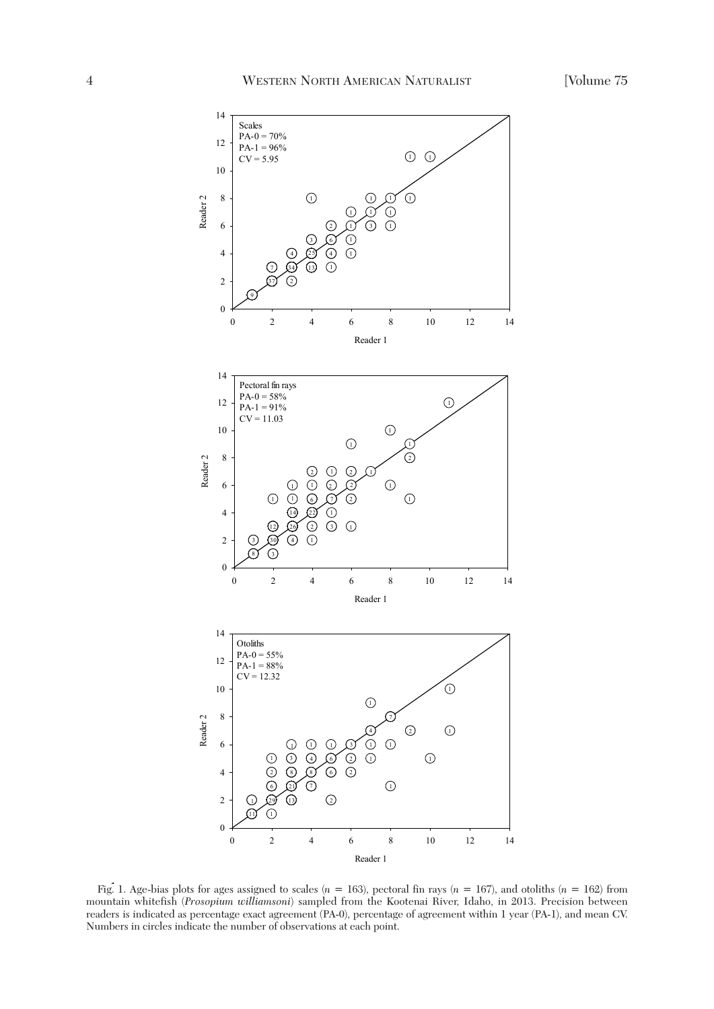

Reader 1

Fig. 1. Age-bias plots for ages assigned to scales  $(n = 163)$ , pectoral fin rays  $(n = 167)$ , and otoliths  $(n = 162)$  from mountain whitefish (*Prosopium williamsoni*) sampled from the Kootenai River, Idaho, in 2013. Precision between readers is indicated as percentage exact agreement (PA-0), percentage of agreement within 1 year (PA-1), and mean CV. Numbers in circles indicate the number of observations at each point.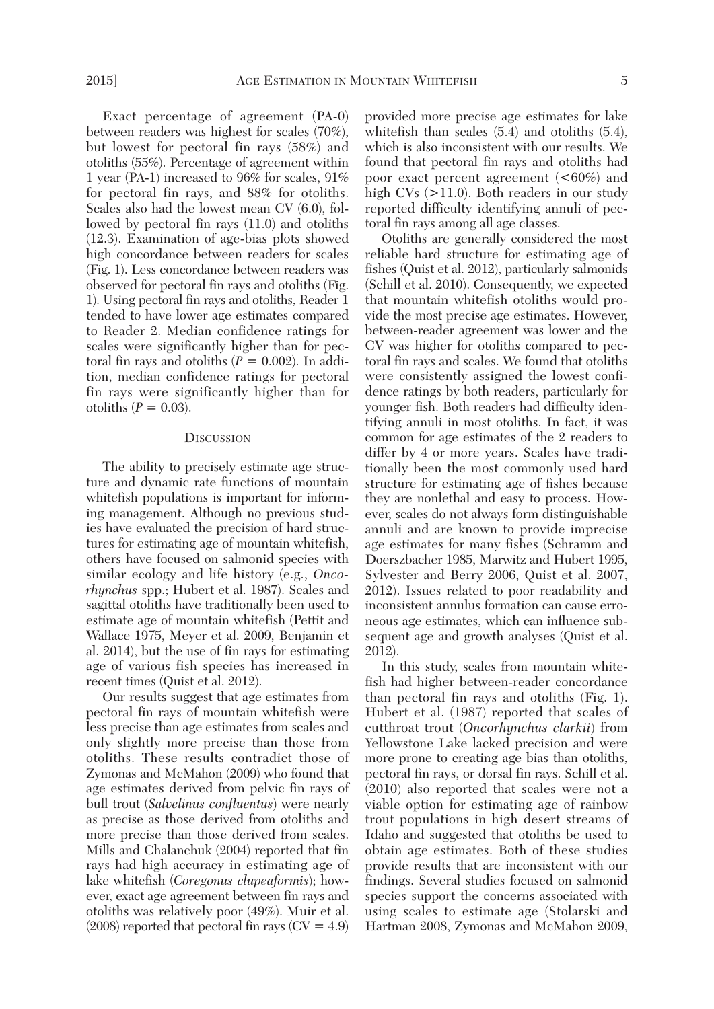Exact percentage of agreement (PA-0) between readers was highest for scales (70%), but lowest for pectoral fin rays (58%) and otoliths (55%). Percentage of agreement within 1 year (PA-1) increased to 96% for scales, 91% for pectoral fin rays, and 88% for otoliths. Scales also had the lowest mean CV (6.0), followed by pectoral fin rays (11.0) and otoliths (12.3). Examination of age-bias plots showed high concordance between readers for scales (Fig. 1). Less concordance between readers was observed for pectoral fin rays and otoliths (Fig. 1). Using pectoral fin rays and otoliths, Reader 1 tended to have lower age estimates compared to Reader 2. Median confidence ratings for scales were significantly higher than for pectoral fin rays and otoliths  $(P = 0.002)$ . In addition, median confidence ratings for pectoral fin rays were significantly higher than for otoliths  $(P = 0.03)$ .

### **DISCUSSION**

The ability to precisely estimate age structure and dynamic rate functions of mountain whitefish populations is important for informing management. Although no previous studies have evaluated the precision of hard structures for estimating age of mountain whitefish, others have focused on salmonid species with similar ecology and life history (e.g., *Oncorhynchus* spp.; Hubert et al. 1987). Scales and sagittal otoliths have traditionally been used to estimate age of mountain whitefish (Pettit and Wallace 1975, Meyer et al. 2009, Benjamin et al. 2014), but the use of fin rays for estimating age of various fish species has increased in recent times (Quist et al. 2012).

Our results suggest that age estimates from pectoral fin rays of mountain whitefish were less precise than age estimates from scales and only slightly more precise than those from otoliths. These results contradict those of Zymonas and McMahon (2009) who found that age estimates derived from pelvic fin rays of bull trout (*Salvelinus confluentus*) were nearly as precise as those derived from otoliths and more precise than those derived from scales. Mills and Chalanchuk (2004) reported that fin rays had high accuracy in estimating age of lake whitefish (*Coregonus clupeaformis*); however, exact age agreement between fin rays and otoliths was relatively poor (49%). Muir et al.  $(2008)$  reported that pectoral fin rays  $(CV = 4.9)$  provided more precise age estimates for lake whitefish than scales (5.4) and otoliths (5.4), which is also inconsistent with our results. We found that pectoral fin rays and otoliths had poor exact percent agreement (<60%) and high CVs  $(>11.0)$ . Both readers in our study reported difficulty identifying annuli of pectoral fin rays among all age classes.

Otoliths are generally considered the most reliable hard structure for estimating age of fishes (Quist et al. 2012), particularly salmonids (Schill et al. 2010). Consequently, we expected that mountain whitefish otoliths would provide the most precise age estimates. However, between-reader agreement was lower and the CV was higher for otoliths compared to pectoral fin rays and scales. We found that otoliths were consistently assigned the lowest confidence ratings by both readers, particularly for younger fish. Both readers had difficulty identifying annuli in most otoliths. In fact, it was common for age estimates of the 2 readers to differ by 4 or more years. Scales have traditionally been the most commonly used hard structure for estimating age of fishes because they are nonlethal and easy to process. However, scales do not always form distinguishable annuli and are known to provide imprecise age estimates for many fishes (Schramm and Doerszbacher 1985, Marwitz and Hubert 1995, Sylvester and Berry 2006, Quist et al. 2007, 2012). Issues related to poor readability and inconsistent annulus formation can cause erroneous age estimates, which can influence subsequent age and growth analyses (Quist et al. 2012).

In this study, scales from mountain whitefish had higher between-reader concordance than pectoral fin rays and otoliths (Fig. 1). Hubert et al. (1987) reported that scales of cutthroat trout (*Oncorhynchus clarkii*) from Yellowstone Lake lacked precision and were more prone to creating age bias than otoliths, pectoral fin rays, or dorsal fin rays. Schill et al. (2010) also reported that scales were not a viable option for estimating age of rainbow trout populations in high desert streams of Idaho and suggested that otoliths be used to obtain age estimates. Both of these studies provide results that are inconsistent with our findings. Several studies focused on salmonid species support the concerns associated with using scales to estimate age (Stolarski and Hartman 2008, Zymonas and McMahon 2009,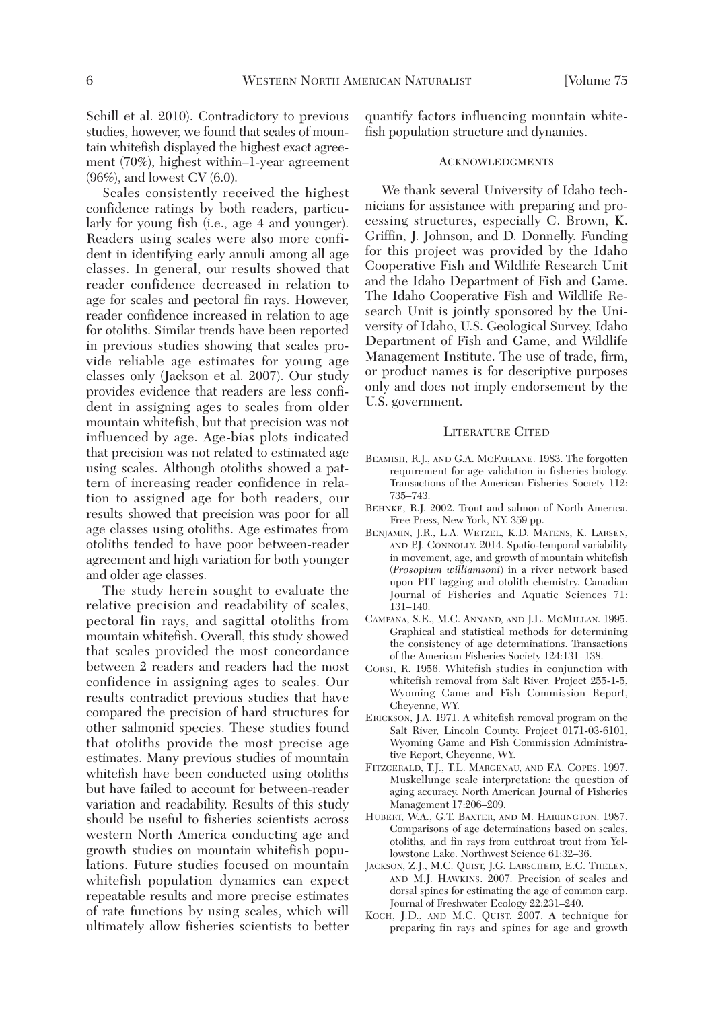Schill et al. 2010). Contradictory to previous studies, however, we found that scales of mountain whitefish displayed the highest exact agreement (70%), highest within–1-year agreement (96%), and lowest CV (6.0).

Scales consistently received the highest confidence ratings by both readers, particularly for young fish (i.e., age 4 and younger). Readers using scales were also more confident in identifying early annuli among all age classes. In general, our results showed that reader confidence decreased in relation to age for scales and pectoral fin rays. However, reader confidence increased in relation to age for otoliths. Similar trends have been reported in previous studies showing that scales provide reliable age estimates for young age classes only (Jackson et al. 2007). Our study provides evidence that readers are less confident in assigning ages to scales from older mountain whitefish, but that precision was not influenced by age. Age-bias plots indicated that precision was not related to estimated age using scales. Although otoliths showed a pattern of increasing reader confidence in relation to assigned age for both readers, our results showed that precision was poor for all age classes using otoliths. Age estimates from otoliths tended to have poor between-reader agreement and high variation for both younger and older age classes.

The study herein sought to evaluate the relative precision and readability of scales, pectoral fin rays, and sagittal otoliths from mountain whitefish. Overall, this study showed that scales provided the most concordance between 2 readers and readers had the most confidence in assigning ages to scales. Our results contradict previous studies that have compared the precision of hard structures for other salmonid species. These studies found that otoliths provide the most precise age estimates. Many previous studies of mountain whitefish have been conducted using otoliths but have failed to account for between-reader variation and readability. Results of this study should be useful to fisheries scientists across western North America conducting age and growth studies on mountain whitefish populations. Future studies focused on mountain whitefish population dynamics can expect repeatable results and more precise estimates of rate functions by using scales, which will ultimately allow fisheries scientists to better quantify factors influencing mountain whitefish population structure and dynamics.

#### **ACKNOWLEDGMENTS**

We thank several University of Idaho technicians for assistance with preparing and processing structures, especially C. Brown, K. Griffin, J. Johnson, and D. Donnelly. Funding for this project was provided by the Idaho Cooperative Fish and Wildlife Research Unit and the Idaho Department of Fish and Game. The Idaho Cooperative Fish and Wildlife Re search Unit is jointly sponsored by the University of Idaho, U.S. Geological Survey, Idaho Department of Fish and Game, and Wildlife Management Institute. The use of trade, firm, or product names is for descriptive purposes only and does not imply endorsement by the U.S. government.

### LITERATURE CITED

- BEAMISH, R.J., AND G.A. MCFARLANE. 1983. The forgotten requirement for age validation in fisheries biology. Transactions of the American Fisheries Society 112: 735–743.
- BEHNKE, R.J. 2002. Trout and salmon of North America. Free Press, New York, NY. 359 pp.
- BENJAMIN, J.R., L.A. WETZEL, K.D. MATENS, K. LARSEN, AND P.J. CONNOLLY. 2014. Spatio-temporal variability in movement, age, and growth of mountain whitefish (*Prosopium williamsoni*) in a river network based upon PIT tagging and otolith chemistry. Canadian Journal of Fisheries and Aquatic Sciences 71: 131–140.
- CAMPANA, S.E., M.C. ANNAND, AND J.L. MCMILLAN. 1995. Graphical and statistical methods for determining the consistency of age determinations. Transactions of the American Fisheries Society 124:131–138.
- CORSI, R. 1956. Whitefish studies in conjunction with whitefish removal from Salt River. Project 255-1-5, Wyoming Game and Fish Commission Report, Cheyenne, WY.
- ERICKSON, J.A. 1971. A whitefish removal program on the Salt River, Lincoln County. Project 0171-03-6101, Wyoming Game and Fish Commission Administrative Report, Cheyenne, WY.
- FITZGERALD, T.J., T.L. MARGENAU, AND F.A. COPES. 1997. Muskellunge scale interpretation: the question of aging accuracy. North American Journal of Fisheries Management 17:206–209.
- HUBERT, W.A., G.T. BAXTER, AND M. HARRINGTON. 1987. Comparisons of age determinations based on scales, otoliths, and fin rays from cutthroat trout from Yellowstone Lake. Northwest Science 61:32–36.
- JACKSON, Z.J., M.C. QUIST, J.G. LARSCHEID, E.C. THELEN, AND M.J. HAWKINS. 2007. Precision of scales and dorsal spines for estimating the age of common carp. Journal of Freshwater Ecology 22:231–240.
- KOCH, J.D., AND M.C. QUIST. 2007. A technique for preparing fin rays and spines for age and growth